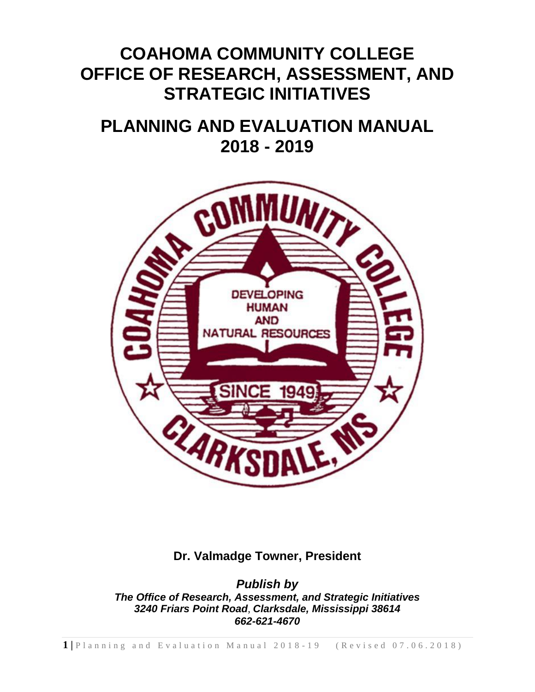# **COAHOMA COMMUNITY COLLEGE OFFICE OF RESEARCH, ASSESSMENT, AND STRATEGIC INITIATIVES**

# **PLANNING AND EVALUATION MANUAL 2018 - 2019**



## **Dr. Valmadge Towner, President**

*Publish by The Office of Research, Assessment, and Strategic Initiatives 3240 Friars Point Road, Clarksdale, Mississippi 38614 662-621-4670*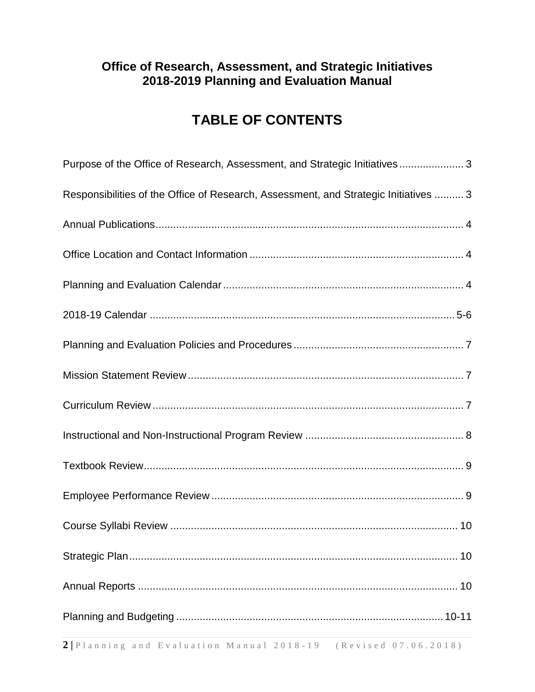## **Office of Research, Assessment, and Strategic Initiatives 2018-2019 Planning and Evaluation Manual**

## **TABLE OF CONTENTS**

| Purpose of the Office of Research, Assessment, and Strategic Initiatives3            |  |
|--------------------------------------------------------------------------------------|--|
| Responsibilities of the Office of Research, Assessment, and Strategic Initiatives  3 |  |
|                                                                                      |  |
|                                                                                      |  |
|                                                                                      |  |
|                                                                                      |  |
|                                                                                      |  |
|                                                                                      |  |
|                                                                                      |  |
|                                                                                      |  |
|                                                                                      |  |
|                                                                                      |  |
|                                                                                      |  |
|                                                                                      |  |
|                                                                                      |  |
|                                                                                      |  |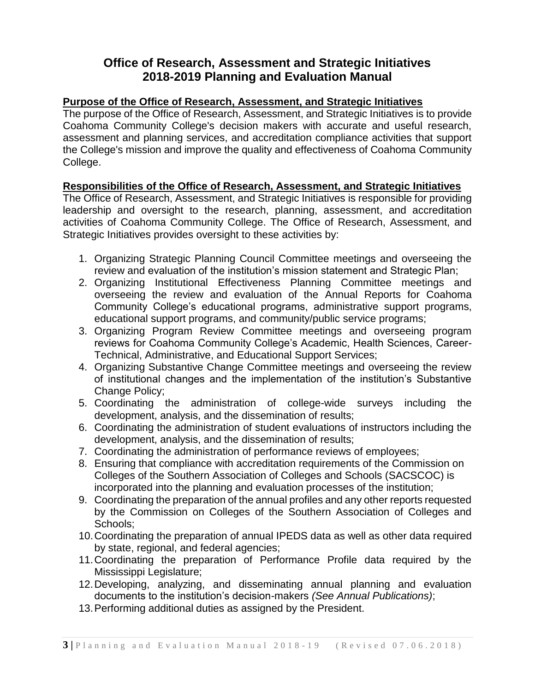## **Office of Research, Assessment and Strategic Initiatives 2018-2019 Planning and Evaluation Manual**

## **Purpose of the Office of Research, Assessment, and Strategic Initiatives**

The purpose of the Office of Research, Assessment, and Strategic Initiatives is to provide Coahoma Community College's decision makers with accurate and useful research, assessment and planning services, and accreditation compliance activities that support the College's mission and improve the quality and effectiveness of Coahoma Community College.

## **Responsibilities of the Office of Research, Assessment, and Strategic Initiatives**

The Office of Research, Assessment, and Strategic Initiatives is responsible for providing leadership and oversight to the research, planning, assessment, and accreditation activities of Coahoma Community College. The Office of Research, Assessment, and Strategic Initiatives provides oversight to these activities by:

- 1. Organizing Strategic Planning Council Committee meetings and overseeing the review and evaluation of the institution's mission statement and Strategic Plan;
- 2. Organizing Institutional Effectiveness Planning Committee meetings and overseeing the review and evaluation of the Annual Reports for Coahoma Community College's educational programs, administrative support programs, educational support programs, and community/public service programs;
- 3. Organizing Program Review Committee meetings and overseeing program reviews for Coahoma Community College's Academic, Health Sciences, Career-Technical, Administrative, and Educational Support Services;
- 4. Organizing Substantive Change Committee meetings and overseeing the review of institutional changes and the implementation of the institution's Substantive Change Policy;
- 5. Coordinating the administration of college-wide surveys including the development, analysis, and the dissemination of results;
- 6. Coordinating the administration of student evaluations of instructors including the development, analysis, and the dissemination of results;
- 7. Coordinating the administration of performance reviews of employees;
- 8. Ensuring that compliance with accreditation requirements of the Commission on Colleges of the Southern Association of Colleges and Schools (SACSCOC) is incorporated into the planning and evaluation processes of the institution;
- 9. Coordinating the preparation of the annual profiles and any other reports requested by the Commission on Colleges of the Southern Association of Colleges and Schools;
- 10.Coordinating the preparation of annual IPEDS data as well as other data required by state, regional, and federal agencies;
- 11.Coordinating the preparation of Performance Profile data required by the Mississippi Legislature;
- 12.Developing, analyzing, and disseminating annual planning and evaluation documents to the institution's decision-makers *(See Annual Publications)*;
- 13.Performing additional duties as assigned by the President.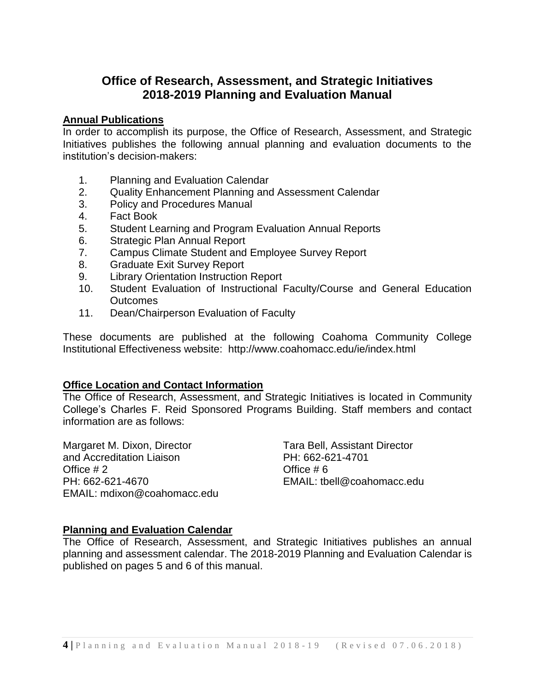## **Office of Research, Assessment, and Strategic Initiatives 2018-2019 Planning and Evaluation Manual**

#### **Annual Publications**

In order to accomplish its purpose, the Office of Research, Assessment, and Strategic Initiatives publishes the following annual planning and evaluation documents to the institution's decision-makers:

- 1. Planning and Evaluation Calendar
- 2. Quality Enhancement Planning and Assessment Calendar
- 3. Policy and Procedures Manual
- 4. Fact Book
- 5. Student Learning and Program Evaluation Annual Reports
- 6. Strategic Plan Annual Report
- 7. Campus Climate Student and Employee Survey Report
- 8. Graduate Exit Survey Report
- 9. Library Orientation Instruction Report
- 10. Student Evaluation of Instructional Faculty/Course and General Education **Outcomes**
- 11. Dean/Chairperson Evaluation of Faculty

These documents are published at the following Coahoma Community College Institutional Effectiveness website: http://www.coahomacc.edu/ie/index.html

#### **Office Location and Contact Information**

The Office of Research, Assessment, and Strategic Initiatives is located in Community College's Charles F. Reid Sponsored Programs Building. Staff members and contact information are as follows:

Margaret M. Dixon, Director Tara Bell, Assistant Director and Accreditation Liaison PH: 662-621-4701 Office # 2 Office # 6 PH: 662-621-4670 EMAIL: tbell@coahomacc.edu EMAIL: mdixon@coahomacc.edu

#### **Planning and Evaluation Calendar**

The Office of Research, Assessment, and Strategic Initiatives publishes an annual planning and assessment calendar. The 2018-2019 Planning and Evaluation Calendar is published on pages 5 and 6 of this manual.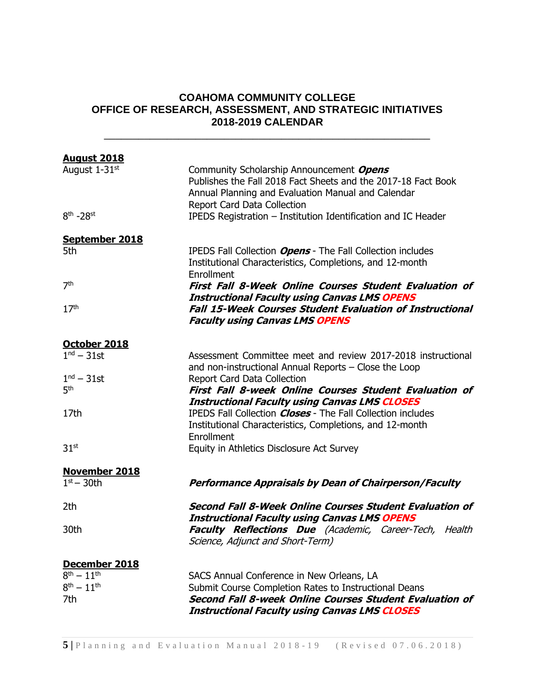## **COAHOMA COMMUNITY COLLEGE OFFICE OF RESEARCH, ASSESSMENT, AND STRATEGIC INITIATIVES 2018-2019 CALENDAR**

\_\_\_\_\_\_\_\_\_\_\_\_\_\_\_\_\_\_\_\_\_\_\_\_\_\_\_\_\_\_\_\_\_\_\_\_\_\_\_\_\_\_\_\_\_\_\_\_\_\_\_\_\_\_\_\_\_

| <b>August 2018</b>                       |                                                                                                                                                                                                      |
|------------------------------------------|------------------------------------------------------------------------------------------------------------------------------------------------------------------------------------------------------|
| August 1-31st                            | Community Scholarship Announcement Opens<br>Publishes the Fall 2018 Fact Sheets and the 2017-18 Fact Book<br>Annual Planning and Evaluation Manual and Calendar<br>Report Card Data Collection       |
| $8th - 28st$                             | IPEDS Registration - Institution Identification and IC Header                                                                                                                                        |
| September 2018                           |                                                                                                                                                                                                      |
| 5th                                      | IPEDS Fall Collection Opens - The Fall Collection includes<br>Institutional Characteristics, Completions, and 12-month<br>Enrollment                                                                 |
| 7 <sup>th</sup>                          | <b>First Fall 8-Week Online Courses Student Evaluation of</b>                                                                                                                                        |
| 17 <sup>th</sup>                         | <b>Instructional Faculty using Canvas LMS OPENS</b><br><b>Fall 15-Week Courses Student Evaluation of Instructional</b><br><b>Faculty using Canvas LMS OPENS</b>                                      |
| October 2018                             |                                                                                                                                                                                                      |
| $1nd - 31$ st                            | Assessment Committee meet and review 2017-2018 instructional<br>and non-instructional Annual Reports – Close the Loop                                                                                |
| $1nd - 31$ st<br>5 <sup>th</sup>         | Report Card Data Collection<br>First Fall 8-week Online Courses Student Evaluation of                                                                                                                |
| 17th                                     | <b>Instructional Faculty using Canvas LMS CLOSES</b><br>IPEDS Fall Collection <i>Closes</i> - The Fall Collection includes<br>Institutional Characteristics, Completions, and 12-month<br>Enrollment |
| 31 <sup>st</sup>                         | Equity in Athletics Disclosure Act Survey                                                                                                                                                            |
| <b>November 2018</b>                     |                                                                                                                                                                                                      |
| $1st - 30th$                             | <b>Performance Appraisals by Dean of Chairperson/Faculty</b>                                                                                                                                         |
| 2th                                      | <b>Second Fall 8-Week Online Courses Student Evaluation of</b><br><b>Instructional Faculty using Canvas LMS OPENS</b>                                                                                |
| 30th                                     | <b>Faculty Reflections Due</b> (Academic, Career-Tech, Health<br>Science, Adjunct and Short-Term)                                                                                                    |
| December 2018                            |                                                                                                                                                                                                      |
| $8^{th} - 11^{th}$<br>$8^{th} - 11^{th}$ | SACS Annual Conference in New Orleans, LA                                                                                                                                                            |
| 7th                                      | Submit Course Completion Rates to Instructional Deans<br>Second Fall 8-week Online Courses Student Evaluation of                                                                                     |
|                                          | <b>Instructional Faculty using Canvas LMS CLOSES</b>                                                                                                                                                 |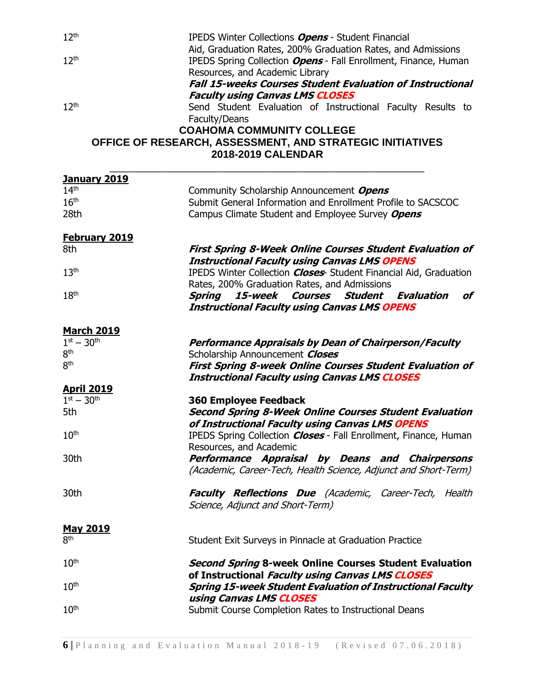| 12 <sup>th</sup>     | IPEDS Winter Collections Opens - Student Financial                      |
|----------------------|-------------------------------------------------------------------------|
|                      | Aid, Graduation Rates, 200% Graduation Rates, and Admissions            |
| 12 <sup>th</sup>     | IPEDS Spring Collection Opens - Fall Enrollment, Finance, Human         |
|                      | Resources, and Academic Library                                         |
|                      | <b>Fall 15-weeks Courses Student Evaluation of Instructional</b>        |
|                      | <b>Faculty using Canvas LMS CLOSES</b>                                  |
| 12 <sup>th</sup>     | Send Student Evaluation of Instructional Faculty Results to             |
|                      | Faculty/Deans                                                           |
|                      | <b>COAHOMA COMMUNITY COLLEGE</b>                                        |
|                      | OFFICE OF RESEARCH, ASSESSMENT, AND STRATEGIC INITIATIVES               |
|                      | 2018-2019 CALENDAR                                                      |
| <b>January 2019</b>  |                                                                         |
| 14 <sup>th</sup>     | Community Scholarship Announcement Opens                                |
| 16 <sup>th</sup>     | Submit General Information and Enrollment Profile to SACSCOC            |
| 28th                 | Campus Climate Student and Employee Survey Opens                        |
|                      |                                                                         |
| <b>February 2019</b> |                                                                         |
| 8th                  | <b>First Spring 8-Week Online Courses Student Evaluation of</b>         |
|                      | <b>Instructional Faculty using Canvas LMS OPENS</b>                     |
| 13 <sup>th</sup>     | IPEDS Winter Collection <b>Closes</b> Student Financial Aid, Graduation |
|                      | Rates, 200% Graduation Rates, and Admissions                            |
| 18 <sup>th</sup>     | Courses<br><b>Student Evaluation</b><br>of<br>Spring<br>15-week         |
|                      | <b>Instructional Faculty using Canvas LMS OPENS</b>                     |
| <b>March 2019</b>    |                                                                         |
| $1^{st} - 30^{th}$   | Performance Appraisals by Dean of Chairperson/Faculty                   |
| 8 <sup>th</sup>      | Scholarship Announcement Closes                                         |
| 8 <sup>th</sup>      | <b>First Spring 8-week Online Courses Student Evaluation of</b>         |
|                      | <b>Instructional Faculty using Canvas LMS CLOSES</b>                    |
| <b>April 2019</b>    |                                                                         |
| $1^{st} - 30^{th}$   | <b>360 Employee Feedback</b>                                            |
| 5th                  | <b>Second Spring 8-Week Online Courses Student Evaluation</b>           |
|                      | of Instructional Faculty using Canvas LMS OPENS                         |
| 10 <sup>th</sup>     | IPEDS Spring Collection <b>Closes</b> - Fall Enrollment, Finance, Human |
|                      | Resources, and Academic                                                 |
| 30th                 | Performance Appraisal by Deans and Chairpersons                         |
|                      | (Academic, Career-Tech, Health Science, Adjunct and Short-Term)         |
| 30th                 | <b>Faculty Reflections Due</b> (Academic, Career-Tech, Health           |
|                      | Science, Adjunct and Short-Term)                                        |
|                      |                                                                         |
| <b>May 2019</b>      |                                                                         |
| 8 <sup>th</sup>      | Student Exit Surveys in Pinnacle at Graduation Practice                 |
| 10 <sup>th</sup>     | <b>Second Spring 8-week Online Courses Student Evaluation</b>           |
|                      | of Instructional Faculty using Canvas LMS CLOSES                        |
| 10 <sup>th</sup>     | <b>Spring 15-week Student Evaluation of Instructional Faculty</b>       |
|                      | using Canvas LMS CLOSES                                                 |
| 10 <sup>th</sup>     | Submit Course Completion Rates to Instructional Deans                   |
|                      |                                                                         |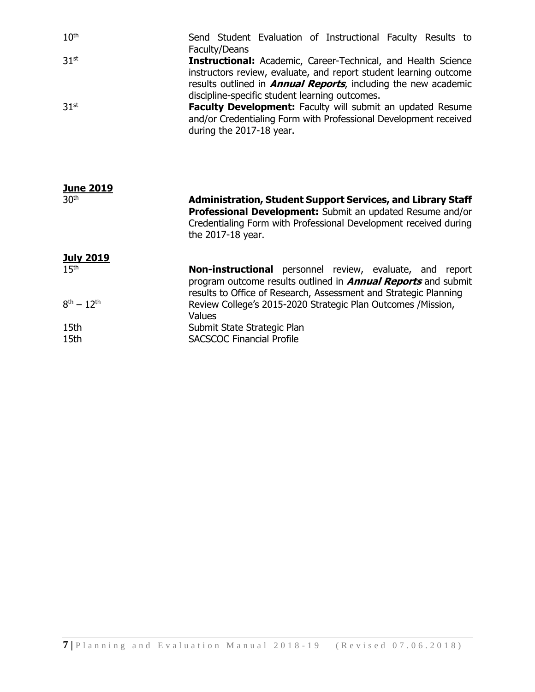| 10 <sup>th</sup> | Send Student Evaluation of Instructional Faculty Results to            |
|------------------|------------------------------------------------------------------------|
|                  | Faculty/Deans                                                          |
| 31 <sup>st</sup> | <b>Instructional:</b> Academic, Career-Technical, and Health Science   |
|                  | instructors review, evaluate, and report student learning outcome      |
|                  | results outlined in <b>Annual Reports</b> , including the new academic |
|                  | discipline-specific student learning outcomes.                         |
| 31 <sup>st</sup> | <b>Faculty Development:</b> Faculty will submit an updated Resume      |
|                  | and/or Credentialing Form with Professional Development received       |
|                  | during the 2017-18 year.                                               |

| <b>June 2019</b>   |                                                                                                                                                                                                                   |
|--------------------|-------------------------------------------------------------------------------------------------------------------------------------------------------------------------------------------------------------------|
| 30 <sup>th</sup>   | Administration, Student Support Services, and Library Staff<br>Professional Development: Submit an updated Resume and/or<br>Credentialing Form with Professional Development received during<br>the 2017-18 year. |
| <b>July 2019</b>   |                                                                                                                                                                                                                   |
| 15 <sup>th</sup>   | <b>Non-instructional</b> personnel review, evaluate, and report<br>program outcome results outlined in <b>Annual Reports</b> and submit<br>results to Office of Research, Assessment and Strategic Planning       |
| $8^{th} - 12^{th}$ | Review College's 2015-2020 Strategic Plan Outcomes /Mission,<br>Values                                                                                                                                            |
| 15th               | Submit State Strategic Plan                                                                                                                                                                                       |
| 15th               | <b>SACSCOC Financial Profile</b>                                                                                                                                                                                  |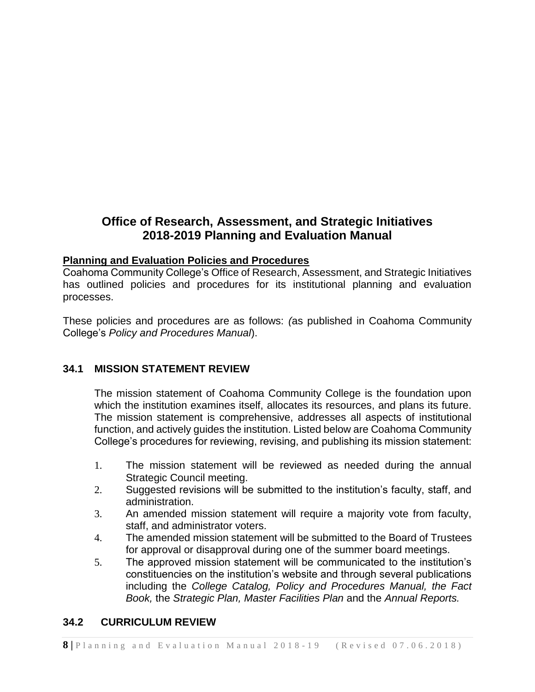## **Office of Research, Assessment, and Strategic Initiatives 2018-2019 Planning and Evaluation Manual**

#### **Planning and Evaluation Policies and Procedures**

Coahoma Community College's Office of Research, Assessment, and Strategic Initiatives has outlined policies and procedures for its institutional planning and evaluation processes.

These policies and procedures are as follows: *(*as published in Coahoma Community College's *Policy and Procedures Manual*).

## **34.1 MISSION STATEMENT REVIEW**

The mission statement of Coahoma Community College is the foundation upon which the institution examines itself, allocates its resources, and plans its future. The mission statement is comprehensive, addresses all aspects of institutional function, and actively guides the institution. Listed below are Coahoma Community College's procedures for reviewing, revising, and publishing its mission statement:

- 1. The mission statement will be reviewed as needed during the annual Strategic Council meeting.
- 2. Suggested revisions will be submitted to the institution's faculty, staff, and administration.
- 3. An amended mission statement will require a majority vote from faculty, staff, and administrator voters.
- 4. The amended mission statement will be submitted to the Board of Trustees for approval or disapproval during one of the summer board meetings.
- 5. The approved mission statement will be communicated to the institution's constituencies on the institution's website and through several publications including the *College Catalog, Policy and Procedures Manual, the Fact Book,* the *Strategic Plan, Master Facilities Plan* and the *Annual Reports.*

#### **34.2 CURRICULUM REVIEW**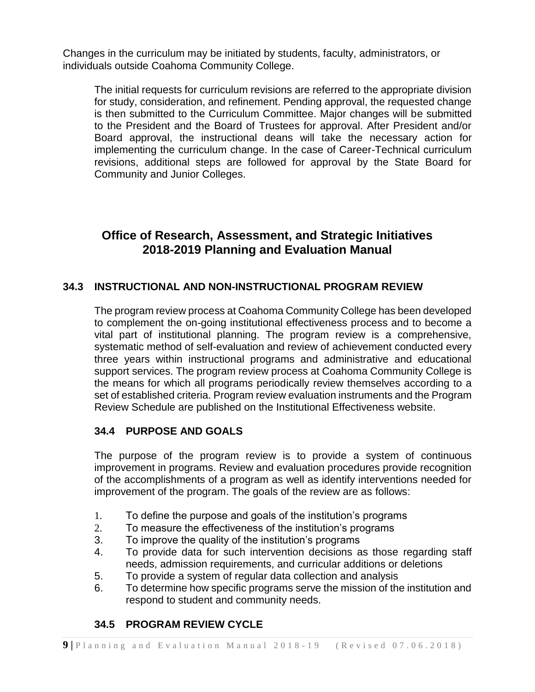Changes in the curriculum may be initiated by students, faculty, administrators, or individuals outside Coahoma Community College.

The initial requests for curriculum revisions are referred to the appropriate division for study, consideration, and refinement. Pending approval, the requested change is then submitted to the Curriculum Committee. Major changes will be submitted to the President and the Board of Trustees for approval. After President and/or Board approval, the instructional deans will take the necessary action for implementing the curriculum change. In the case of Career-Technical curriculum revisions, additional steps are followed for approval by the State Board for Community and Junior Colleges.

## **Office of Research, Assessment, and Strategic Initiatives 2018-2019 Planning and Evaluation Manual**

## **34.3 INSTRUCTIONAL AND NON-INSTRUCTIONAL PROGRAM REVIEW**

The program review process at Coahoma Community College has been developed to complement the on-going institutional effectiveness process and to become a vital part of institutional planning. The program review is a comprehensive, systematic method of self-evaluation and review of achievement conducted every three years within instructional programs and administrative and educational support services. The program review process at Coahoma Community College is the means for which all programs periodically review themselves according to a set of established criteria. Program review evaluation instruments and the Program Review Schedule are published on the Institutional Effectiveness website.

## **34.4 PURPOSE AND GOALS**

The purpose of the program review is to provide a system of continuous improvement in programs. Review and evaluation procedures provide recognition of the accomplishments of a program as well as identify interventions needed for improvement of the program. The goals of the review are as follows:

- 1. To define the purpose and goals of the institution's programs
- 2. To measure the effectiveness of the institution's programs
- 3. To improve the quality of the institution's programs
- 4. To provide data for such intervention decisions as those regarding staff needs, admission requirements, and curricular additions or deletions
- 5. To provide a system of regular data collection and analysis
- 6. To determine how specific programs serve the mission of the institution and respond to student and community needs.

## **34.5 PROGRAM REVIEW CYCLE**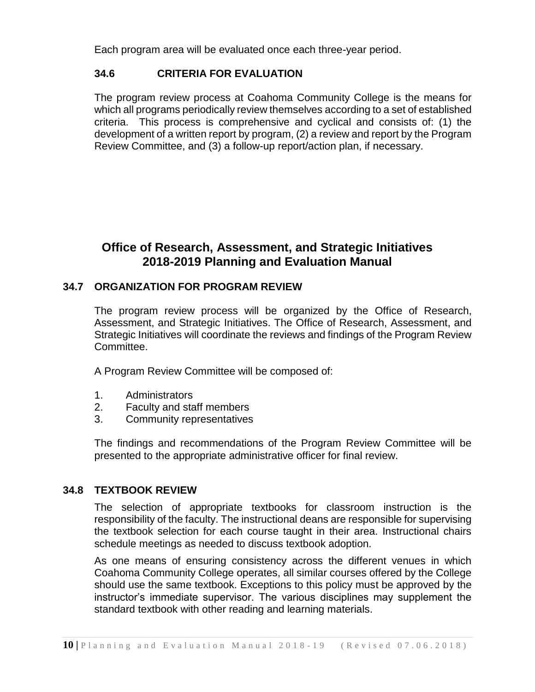Each program area will be evaluated once each three-year period.

## **34.6 CRITERIA FOR EVALUATION**

The program review process at Coahoma Community College is the means for which all programs periodically review themselves according to a set of established criteria. This process is comprehensive and cyclical and consists of: (1) the development of a written report by program, (2) a review and report by the Program Review Committee, and (3) a follow-up report/action plan, if necessary.

## **Office of Research, Assessment, and Strategic Initiatives 2018-2019 Planning and Evaluation Manual**

#### **34.7 ORGANIZATION FOR PROGRAM REVIEW**

The program review process will be organized by the Office of Research, Assessment, and Strategic Initiatives. The Office of Research, Assessment, and Strategic Initiatives will coordinate the reviews and findings of the Program Review Committee.

A Program Review Committee will be composed of:

- 1. Administrators
- 2. Faculty and staff members
- 3. Community representatives

The findings and recommendations of the Program Review Committee will be presented to the appropriate administrative officer for final review.

#### **34.8 TEXTBOOK REVIEW**

The selection of appropriate textbooks for classroom instruction is the responsibility of the faculty. The instructional deans are responsible for supervising the textbook selection for each course taught in their area. Instructional chairs schedule meetings as needed to discuss textbook adoption.

As one means of ensuring consistency across the different venues in which Coahoma Community College operates, all similar courses offered by the College should use the same textbook. Exceptions to this policy must be approved by the instructor's immediate supervisor. The various disciplines may supplement the standard textbook with other reading and learning materials.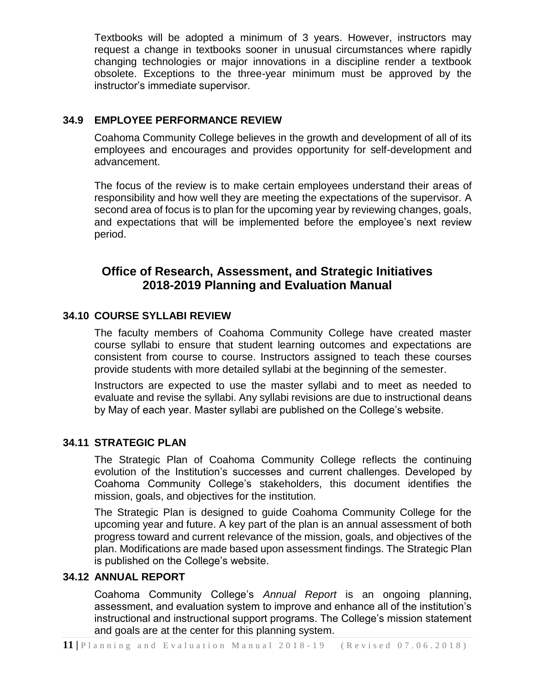Textbooks will be adopted a minimum of 3 years. However, instructors may request a change in textbooks sooner in unusual circumstances where rapidly changing technologies or major innovations in a discipline render a textbook obsolete. Exceptions to the three-year minimum must be approved by the instructor's immediate supervisor.

## **34.9 EMPLOYEE PERFORMANCE REVIEW**

Coahoma Community College believes in the growth and development of all of its employees and encourages and provides opportunity for self-development and advancement.

The focus of the review is to make certain employees understand their areas of responsibility and how well they are meeting the expectations of the supervisor. A second area of focus is to plan for the upcoming year by reviewing changes, goals, and expectations that will be implemented before the employee's next review period.

## **Office of Research, Assessment, and Strategic Initiatives 2018-2019 Planning and Evaluation Manual**

## **34.10 COURSE SYLLABI REVIEW**

The faculty members of Coahoma Community College have created master course syllabi to ensure that student learning outcomes and expectations are consistent from course to course. Instructors assigned to teach these courses provide students with more detailed syllabi at the beginning of the semester.

Instructors are expected to use the master syllabi and to meet as needed to evaluate and revise the syllabi. Any syllabi revisions are due to instructional deans by May of each year. Master syllabi are published on the College's website.

## **34.11 STRATEGIC PLAN**

The Strategic Plan of Coahoma Community College reflects the continuing evolution of the Institution's successes and current challenges. Developed by Coahoma Community College's stakeholders, this document identifies the mission, goals, and objectives for the institution.

The Strategic Plan is designed to guide Coahoma Community College for the upcoming year and future. A key part of the plan is an annual assessment of both progress toward and current relevance of the mission, goals, and objectives of the plan. Modifications are made based upon assessment findings. The Strategic Plan is published on the College's website.

## **34.12 ANNUAL REPORT**

Coahoma Community College's *Annual Report* is an ongoing planning, assessment, and evaluation system to improve and enhance all of the institution's instructional and instructional support programs. The College's mission statement and goals are at the center for this planning system.